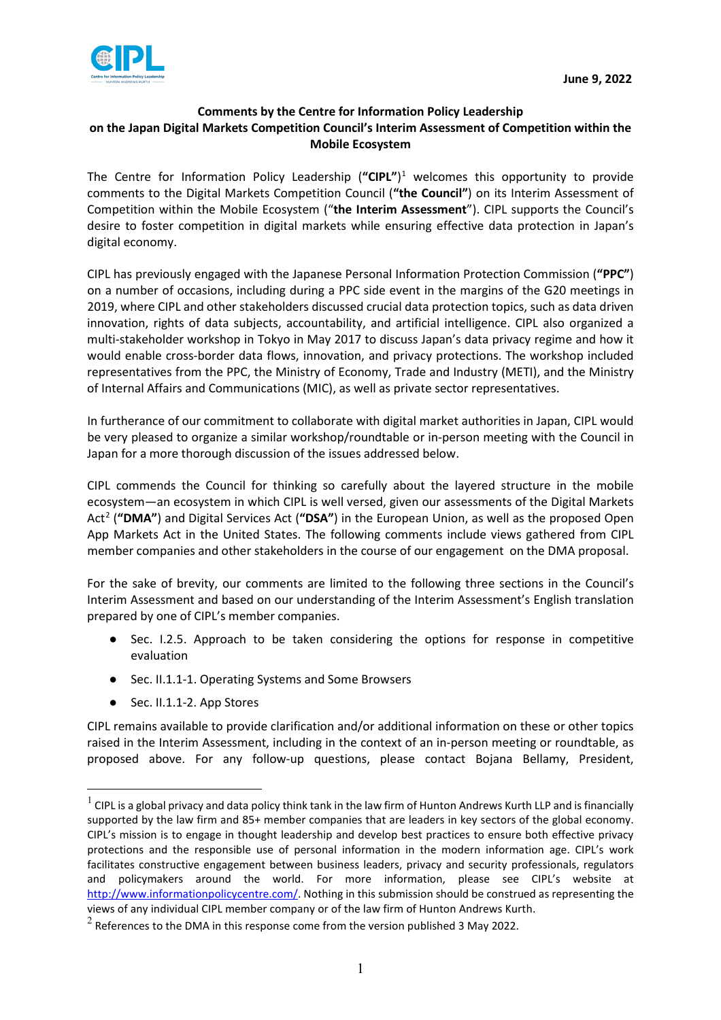

## **Comments by the Centre for Information Policy Leadership on the Japan Digital Markets Competition Council's Interim Assessment of Competition within the Mobile Ecosystem**

The Centre for Information Policy Leadership (**"CIPL"**) [1](#page-0-0) welcomes this opportunity to provide comments to the Digital Markets Competition Council (**"the Council"**) on its Interim Assessment of Competition within the Mobile Ecosystem ("**the Interim Assessment**"). CIPL supports the Council's desire to foster competition in digital markets while ensuring effective data protection in Japan's digital economy.

CIPL has previously engaged with the Japanese Personal Information Protection Commission (**"PPC"**) on a number of occasions, including during a PPC side event in the margins of the G20 meetings in 2019, where CIPL and other stakeholders discussed crucial data protection topics, such as data driven innovation, rights of data subjects, accountability, and artificial intelligence. CIPL also organized a multi-stakeholder workshop in Tokyo in May 2017 to discuss Japan's data privacy regime and how it would enable cross-border data flows, innovation, and privacy protections. The workshop included representatives from the PPC, the Ministry of Economy, Trade and Industry (METI), and the Ministry of Internal Affairs and Communications (MIC), as well as private sector representatives.

In furtherance of our commitment to collaborate with digital market authorities in Japan, CIPL would be very pleased to organize a similar workshop/roundtable or in-person meeting with the Council in Japan for a more thorough discussion of the issues addressed below.

CIPL commends the Council for thinking so carefully about the layered structure in the mobile ecosystem—an ecosystem in which CIPL is well versed, given our assessments of the Digital Markets Act[2](#page-0-1) (**"DMA"**) and Digital Services Act (**"DSA"**) in the European Union, as well as the proposed Open App Markets Act in the United States. The following comments include views gathered from CIPL member companies and other stakeholders in the course of our engagement on the DMA proposal.

For the sake of brevity, our comments are limited to the following three sections in the Council's Interim Assessment and based on our understanding of the Interim Assessment's English translation prepared by one of CIPL's member companies.

- Sec. I.2.5. Approach to be taken considering the options for response in competitive evaluation
- Sec. II.1.1-1. Operating Systems and Some Browsers
- Sec. II.1.1-2. App Stores

CIPL remains available to provide clarification and/or additional information on these or other topics raised in the Interim Assessment, including in the context of an in-person meeting or roundtable, as proposed above. For any follow-up questions, please contact Bojana Bellamy, President,

<span id="page-0-0"></span> $1$  CIPL is a global privacy and data policy think tank in the law firm of Hunton Andrews Kurth LLP and is financially supported by the law firm and 85+ member companies that are leaders in key sectors of the global economy. CIPL's mission is to engage in thought leadership and develop best practices to ensure both effective privacy protections and the responsible use of personal information in the modern information age. CIPL's work facilitates constructive engagement between business leaders, privacy and security professionals, regulators and policymakers around the world. For more information, please see CIPL's website at [http://www.informationpolicycentre.com/.](http://www.informationpolicycentre.com/) Nothing in this submission should be construed as representing the views of any individual CIPL member company or of the law firm of Hunton Andrews Kurth.

<span id="page-0-1"></span> $2$  References to the DMA in this response come from the version published 3 May 2022.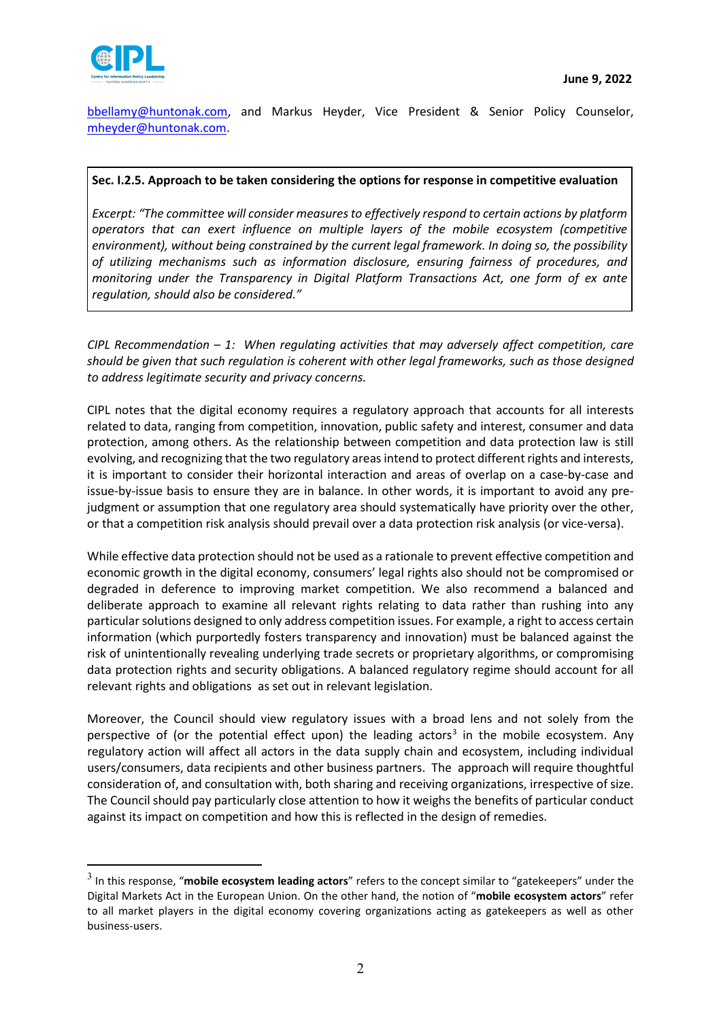[bbellamy@huntonak.com,](mailto:bbellamy@huntonak.com) and Markus Heyder, Vice President & Senior Policy Counselor, [mheyder@huntonak.com.](mailto:mheyder@huntonak.com)

## **Sec. I.2.5. Approach to be taken considering the options for response in competitive evaluation**

*Excerpt: "The committee will consider measures to effectively respond to certain actions by platform operators that can exert influence on multiple layers of the mobile ecosystem (competitive environment), without being constrained by the current legal framework. In doing so, the possibility of utilizing mechanisms such as information disclosure, ensuring fairness of procedures, and monitoring under the Transparency in Digital Platform Transactions Act, one form of ex ante regulation, should also be considered."*

*CIPL Recommendation – 1: When regulating activities that may adversely affect competition, care should be given that such regulation is coherent with other legal frameworks, such as those designed to address legitimate security and privacy concerns.* 

CIPL notes that the digital economy requires a regulatory approach that accounts for all interests related to data, ranging from competition, innovation, public safety and interest, consumer and data protection, among others. As the relationship between competition and data protection law is still evolving, and recognizing that the two regulatory areas intend to protect different rights and interests, it is important to consider their horizontal interaction and areas of overlap on a case-by-case and issue-by-issue basis to ensure they are in balance. In other words, it is important to avoid any prejudgment or assumption that one regulatory area should systematically have priority over the other, or that a competition risk analysis should prevail over a data protection risk analysis (or vice-versa).

While effective data protection should not be used as a rationale to prevent effective competition and economic growth in the digital economy, consumers' legal rights also should not be compromised or degraded in deference to improving market competition. We also recommend a balanced and deliberate approach to examine all relevant rights relating to data rather than rushing into any particular solutions designed to only address competition issues. For example, a right to access certain information (which purportedly fosters transparency and innovation) must be balanced against the risk of unintentionally revealing underlying trade secrets or proprietary algorithms, or compromising data protection rights and security obligations. A balanced regulatory regime should account for all relevant rights and obligations as set out in relevant legislation.

Moreover, the Council should view regulatory issues with a broad lens and not solely from the perspective of (or the potential effect upon) the leading actors<sup>[3](#page-1-0)</sup> in the mobile ecosystem. Any regulatory action will affect all actors in the data supply chain and ecosystem, including individual users/consumers, data recipients and other business partners. The approach will require thoughtful consideration of, and consultation with, both sharing and receiving organizations, irrespective of size. The Council should pay particularly close attention to how it weighs the benefits of particular conduct against its impact on competition and how this is reflected in the design of remedies.

<span id="page-1-0"></span><sup>3</sup> In this response, "**mobile ecosystem leading actors**" refers to the concept similar to "gatekeepers" under the Digital Markets Act in the European Union. On the other hand, the notion of "**mobile ecosystem actors**" refer to all market players in the digital economy covering organizations acting as gatekeepers as well as other business-users.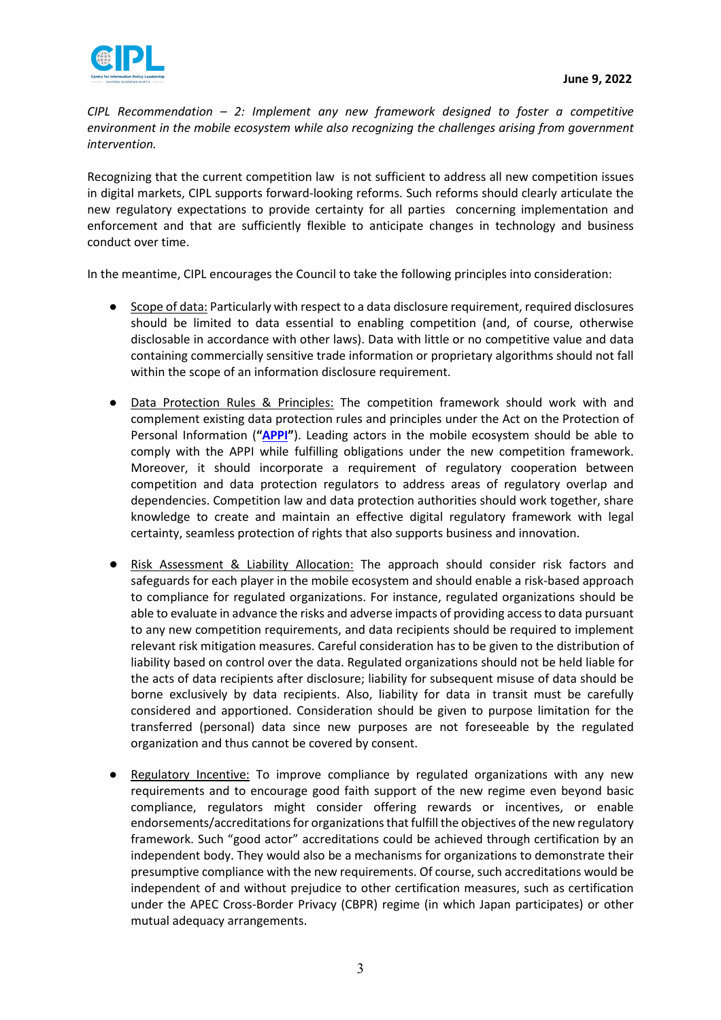

*CIPL Recommendation – 2: Implement any new framework designed to foster a competitive environment in the mobile ecosystem while also recognizing the challenges arising from government intervention.*

Recognizing that the current competition law is not sufficient to address all new competition issues in digital markets, CIPL supports forward-looking reforms. Such reforms should clearly articulate the new regulatory expectations to provide certainty for all parties concerning implementation and enforcement and that are sufficiently flexible to anticipate changes in technology and business conduct over time.

In the meantime, CIPL encourages the Council to take the following principles into consideration:

- Scope of data: Particularly with respect to a data disclosure requirement, required disclosures should be limited to data essential to enabling competition (and, of course, otherwise disclosable in accordance with other laws). Data with little or no competitive value and data containing commercially sensitive trade information or proprietary algorithms should not fall within the scope of an information disclosure requirement.
- Data Protection Rules & Principles: The competition framework should work with and complement existing data protection rules and principles under the Act on the Protection of Personal Information (**["APPI"](https://www.ppc.go.jp/files/pdf/APPI_english.pdf)**). Leading actors in the mobile ecosystem should be able to comply with the APPI while fulfilling obligations under the new competition framework. Moreover, it should incorporate a requirement of regulatory cooperation between competition and data protection regulators to address areas of regulatory overlap and dependencies. Competition law and data protection authorities should work together, share knowledge to create and maintain an effective digital regulatory framework with legal certainty, seamless protection of rights that also supports business and innovation.
- Risk Assessment & Liability Allocation: The approach should consider risk factors and safeguards for each player in the mobile ecosystem and should enable a risk-based approach to compliance for regulated organizations. For instance, regulated organizations should be able to evaluate in advance the risks and adverse impacts of providing access to data pursuant to any new competition requirements, and data recipients should be required to implement relevant risk mitigation measures. Careful consideration has to be given to the distribution of liability based on control over the data. Regulated organizations should not be held liable for the acts of data recipients after disclosure; liability for subsequent misuse of data should be borne exclusively by data recipients. Also, liability for data in transit must be carefully considered and apportioned. Consideration should be given to purpose limitation for the transferred (personal) data since new purposes are not foreseeable by the regulated organization and thus cannot be covered by consent.
- Regulatory Incentive: To improve compliance by regulated organizations with any new requirements and to encourage good faith support of the new regime even beyond basic compliance, regulators might consider offering rewards or incentives, or enable endorsements/accreditations for organizations that fulfill the objectives of the new regulatory framework. Such "good actor" accreditations could be achieved through certification by an independent body. They would also be a mechanisms for organizations to demonstrate their presumptive compliance with the new requirements. Of course, such accreditations would be independent of and without prejudice to other certification measures, such as certification under the APEC Cross-Border Privacy (CBPR) regime (in which Japan participates) or other mutual adequacy arrangements.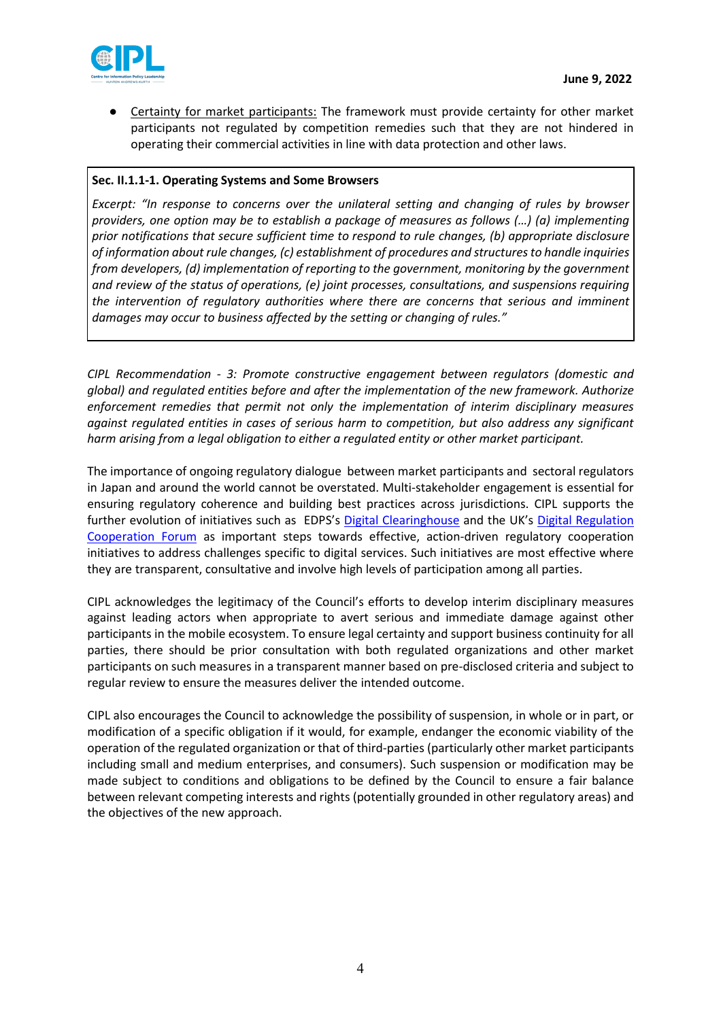

Certainty for market participants: The framework must provide certainty for other market participants not regulated by competition remedies such that they are not hindered in operating their commercial activities in line with data protection and other laws.

## **Sec. II.1.1-1. Operating Systems and Some Browsers**

*Excerpt: "In response to concerns over the unilateral setting and changing of rules by browser providers, one option may be to establish a package of measures as follows (…) (a) implementing prior notifications that secure sufficient time to respond to rule changes, (b) appropriate disclosure of information about rule changes, (c) establishment of procedures and structures to handle inquiries from developers, (d) implementation of reporting to the government, monitoring by the government and review of the status of operations, (e) joint processes, consultations, and suspensions requiring the intervention of regulatory authorities where there are concerns that serious and imminent damages may occur to business affected by the setting or changing of rules."*

*CIPL Recommendation - 3: Promote constructive engagement between regulators (domestic and global) and regulated entities before and after the implementation of the new framework. Authorize enforcement remedies that permit not only the implementation of interim disciplinary measures against regulated entities in cases of serious harm to competition, but also address any significant harm arising from a legal obligation to either a regulated entity or other market participant.* 

The importance of ongoing regulatory dialogue between market participants and sectoral regulators in Japan and around the world cannot be overstated. Multi-stakeholder engagement is essential for ensuring regulatory coherence and building best practices across jurisdictions. CIPL supports the further evolution of initiatives such as EDPS's [Digital Clearinghouse](https://www.digitalclearinghouse.org/) and the UK's Digital Regulation [Cooperation Forum](https://www.gov.uk/government/collections/the-digital-regulation-cooperation-forum) as important steps towards effective, action-driven regulatory cooperation initiatives to address challenges specific to digital services. Such initiatives are most effective where they are transparent, consultative and involve high levels of participation among all parties.

CIPL acknowledges the legitimacy of the Council's efforts to develop interim disciplinary measures against leading actors when appropriate to avert serious and immediate damage against other participants in the mobile ecosystem. To ensure legal certainty and support business continuity for all parties, there should be prior consultation with both regulated organizations and other market participants on such measures in a transparent manner based on pre-disclosed criteria and subject to regular review to ensure the measures deliver the intended outcome.

CIPL also encourages the Council to acknowledge the possibility of suspension, in whole or in part, or modification of a specific obligation if it would, for example, endanger the economic viability of the operation of the regulated organization or that of third-parties (particularly other market participants including small and medium enterprises, and consumers). Such suspension or modification may be made subject to conditions and obligations to be defined by the Council to ensure a fair balance between relevant competing interests and rights (potentially grounded in other regulatory areas) and the objectives of the new approach.